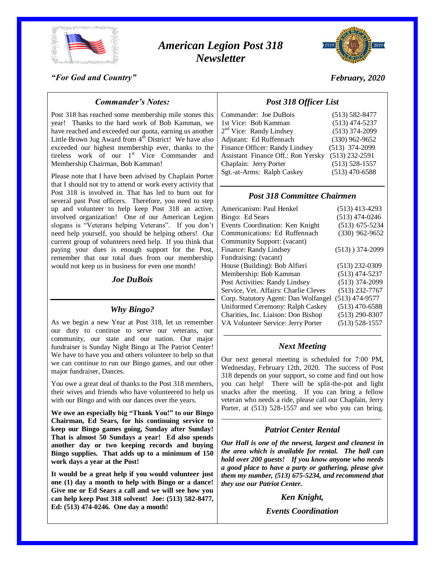

# *American Legion Post 318 Newsletter*



*February, 2020*

#### *"For God and Country"*

### *Commander's Notes:*

Post 318 has reached some membership mile stones this year! Thanks to the hard work of Bob Kamman, we have reached and exceeded our quota, earning us another Little Brown Jug Award from  $4<sup>th</sup>$  District! We have also exceeded our highest membership ever, thanks to the tireless work of our  $1<sup>st</sup>$  Vice Commander and Membership Chairman, Bob Kamman!

Please note that I have been advised by Chaplain Porter that I should not try to attend or work every activity that Post 318 is involved in. That has led to burn out for several past Post officers. Therefore, you need to step up and volunteer to help keep Post 318 an active, involved organization! One of our American Legion slogans is "Veterans helping Veterans". If you don't need help yourself, you should be helping others! Our current group of volunteers need help. If you think that paying your dues is enough support for the Post, remember that our total dues from our membership would not keep us in business for even one month!

#### *Joe DuBois*

#### *Why Bingo?*

As we begin a new Year at Post 318, let us remember our duty to continue to serve our veterans, our community, our state and our nation. Our major fundraiser is Sunday Night Bingo at The Patriot Center! We have to have you and others volunteer to help so that we can continue to run our Bingo games, and our other major fundraiser, Dances.

You owe a great deal of thanks to the Post 318 members, their wives and friends who have volunteered to help us with our Bingo and with our dances over the years.

**We owe an especially big "Thank You!" to our Bingo Chairman, Ed Sears, for his continuing service to keep our Bingo games going, Sunday after Sunday! That is almost 50 Sundays a year! Ed also spends another day or two keeping records and buying Bingo supplies. That adds up to a minimum of 150 work days a year at the Post!**

**It would be a great help if you would volunteer just one (1) day a month to help with Bingo or a dance! Give me or Ed Sears a call and we will see how you can help keep Post 318 solvent! Joe: (513) 582-8477, Ed: (513) 474-0246. One day a month!**

# *Post 318 Officer List*

| Commander: Joe DuBois                     | $(513) 582 - 8477$ |
|-------------------------------------------|--------------------|
| 1st Vice: Bob Kamman                      | $(513)$ 474-5237   |
| 2 <sup>nd</sup> Vice: Randy Lindsey       | $(513)$ 374-2099   |
| Adjutant: Ed Ruffennach                   | $(330)$ 962-9652   |
| Finance Officer: Randy Lindsey            | $(513)$ 374-2099   |
| <b>Assistant Finance Off.: Ron Yersky</b> | $(513)$ 232-2591   |
| Chaplain: Jerry Porter                    | $(513) 528 - 1557$ |
| Sgt.-at-Arms: Ralph Caskey                | $(513)$ 470-6588   |
|                                           |                    |

### *Post 318 Committee Chairmen*

| Americanism: Paul Henkel              | $(513)$ 413-4293   |
|---------------------------------------|--------------------|
| Bingo: Ed Sears                       | $(513)$ 474-0246   |
| Events Coordination: Ken Knight       | $(513)$ 675-5234   |
| Communications: Ed Ruffennach         | $(330)$ 962-9652   |
| Community Support: (vacant)           |                    |
| Finance: Randy Lindsey                | $(513)$ ) 374-2099 |
| Fundraising: (vacant)                 |                    |
| House (Building): Bob Alfieri         | $(513)$ 232-0309   |
| Membership: Bob Kamman                | $(513)$ 474-5237   |
| Post Activities: Randy Lindsey        | $(513)$ 374-2099   |
| Service, Vet. Affairs: Charlie Cleves | $(513)$ 232-7767   |
| Corp. Statutory Agent: Dan Wolfangel  | $(513)$ 474-9577   |
| Uniformed Ceremony: Ralph Caskey      | $(513)$ 470-6588   |
| Charities, Inc. Liaison: Don Bishop   | $(513)$ 290-8307   |
| VA Volunteer Service: Jerry Porter    | $(513) 528 - 1557$ |
|                                       |                    |

#### *Next Meeting*

Our next general meeting is scheduled for 7:00 PM, Wednesday, February 12th, 2020. The success of Post 318 depends on your support, so come and find out how you can help! There will be split-the-pot and light snacks after the meeting. If you can bring a fellow veteran who needs a ride, please call our Chaplain, Jerry Porter, at (513) 528-1557 and see who you can bring.

## \_\_\_\_\_\_\_\_\_\_\_\_\_\_\_\_\_\_\_\_\_\_\_\_\_\_\_\_\_\_\_\_\_\_\_\_\_\_\_\_\_\_\_\_\_ *Patriot Center Rental*

*Our Hall is one of the newest, largest and cleanest in the area which is available for rental. The hall can hold over 200 guests! If you know anyone who needs a good place to have a party or gathering, please give them my number, (513) 675-5234, and recommend that they use our Patriot Center.*

*Ken Knight,*

*Events Coordination*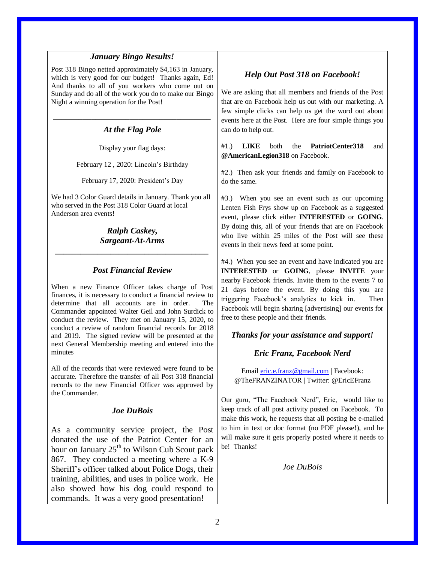## *January Bingo Results!*

Post 318 Bingo netted approximately \$4,163 in January, which is very good for our budget! Thanks again, Ed! And thanks to all of you workers who come out on Sunday and do all of the work you do to make our Bingo Night a winning operation for the Post!

# *\_\_\_\_\_\_\_\_\_\_\_\_\_\_\_\_\_\_\_\_\_\_\_\_\_\_\_\_\_\_\_\_\_\_\_\_\_ At the Flag Pole*

Display your flag days:

February 12 , 2020: Lincoln's Birthday

February 17, 2020: President's Day

We had 3 Color Guard details in January. Thank you all who served in the Post 318 Color Guard at local Anderson area events!

> *Ralph Caskey, Sargeant-At-Arms*

*\_\_\_\_\_\_\_\_\_\_\_\_\_\_\_\_\_\_\_\_\_\_\_\_\_\_\_\_\_\_\_\_\_\_\_\_*

## *Post Financial Review*

When a new Finance Officer takes charge of Post finances, it is necessary to conduct a financial review to determine that all accounts are in order. The Commander appointed Walter Geil and John Surdick to conduct the review. They met on January 15, 2020, to conduct a review of random financial records for 2018 and 2019. The signed review will be presented at the next General Membership meeting and entered into the minutes

All of the records that were reviewed were found to be accurate. Therefore the transfer of all Post 318 financial records to the new Financial Officer was approved by the Commander.

## *Joe DuBois*

As a community service project, the Post donated the use of the Patriot Center for an hour on January  $25<sup>th</sup>$  to Wilson Cub Scout pack 867. They conducted a meeting where a K-9 Sheriff's officer talked about Police Dogs, their training, abilities, and uses in police work. He also showed how his dog could respond to commands. It was a very good presentation!

## *Help Out Post 318 on Facebook!*

We are asking that all members and friends of the Post that are on Facebook help us out with our marketing. A few simple clicks can help us get the word out about events here at the Post. Here are four simple things you can do to help out.

#1.) **LIKE** both the **PatriotCenter318** and **@AmericanLegion318** on Facebook.

#2.) Then ask your friends and family on Facebook to do the same.

#3.) When you see an event such as our upcoming Lenten Fish Frys show up on Facebook as a suggested event, please click either **INTERESTED** or **GOING**. By doing this, all of your friends that are on Facebook who live within 25 miles of the Post will see these events in their news feed at some point.

#4.) When you see an event and have indicated you are **INTERESTED** or **GOING**, please **INVITE** your nearby Facebook friends. Invite them to the events 7 to 21 days before the event. By doing this you are triggering Facebook's analytics to kick in. Then Facebook will begin sharing [advertising] our events for free to these people and their friends.

## *Thanks for your assistance and support!*

## *Eric Franz, Facebook Nerd*

Email [eric.e.franz@gmail.com](mailto:eric.e.franz@gmail.com) | Facebook: @TheFRANZINATOR | Twitter: @EricEFranz

Our guru, "The Facebook Nerd", Eric, would like to keep track of all post activity posted on Facebook. To make this work, he requests that all posting be e-mailed to him in text or doc format (no PDF please!), and he will make sure it gets properly posted where it needs to be! Thanks!

*Joe DuBois*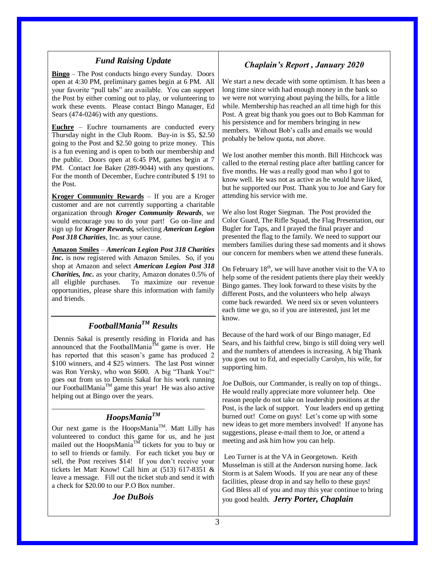## *Fund Raising Update*

**Bingo** – The Post conducts bingo every Sunday. Doors open at 4:30 PM, preliminary games begin at 6 PM. All your favorite "pull tabs" are available. You can support the Post by either coming out to play, or volunteering to work these events. Please contact Bingo Manager, Ed Sears (474-0246) with any questions.

**Euchre** – Euchre tournaments are conducted every Thursday night in the Club Room. Buy-in is \$5, \$2.50 going to the Post and \$2.50 going to prize money. This is a fun evening and is open to both our membership and the public. Doors open at 6:45 PM, games begin at 7 PM. Contact Joe Baker (289-9044) with any questions. For the month of December, Euchre contributed \$ 191 to the Post.

**Kroger Community Rewards** – If you are a Kroger customer and are not currently supporting a charitable organization through *Kroger Community Rewards*, we would encourage you to do your part! Go on-line and sign up for *Kroger Rewards,* selecting *American Legion Post 318 Charities*, Inc. as your cause.

**Amazon Smiles** – *American Legion Post 318 Charities Inc.* is now registered with Amazon Smiles. So, if you shop at Amazon and select *American Legion Post 318 Charities, Inc.* as your charity, Amazon donates 0.5% of all eligible purchases. To maximize our revenue opportunities, please share this information with family and friends.

# *FootballManiaTM Results*

Dennis Sakal is presently residing in Florida and has announced that the FootballMania $\tilde{M}$  game is over. He has reported that this season's game has produced 2 \$100 winners, and 4 \$25 winners. The last Post winner was Ron Yersky, who won \$600. A big "Thank You!" goes out from us to Dennis Sakal for his work running our FootballManiaTM game this year! He was also active helping out at Bingo over the years.

## \_\_\_\_\_\_\_\_\_\_\_\_\_\_\_\_\_\_\_\_\_\_\_\_\_\_\_\_\_\_\_\_\_\_\_\_\_\_\_\_\_\_\_ *HoopsManiaTM*

Our next game is the HoopsMania<sup>TM</sup>. Matt Lilly has volunteered to conduct this game for us, and he just mailed out the HoopsMania<sup>TM</sup> tickets for you to buy or to sell to friends or family. For each ticket you buy or sell, the Post receives \$14! If you don't receive your tickets let Matt Know! Call him at (513) 617-8351 & leave a message. Fill out the ticket stub and send it with a check for \$20.00 to our P.O Box number.

#### *Joe DuBois*

# *Chaplain's Report , January 2020*

We start a new decade with some optimism. It has been a long time since with had enough money in the bank so we were not worrying about paying the bills, for a little while. Membership has reached an all time high for this Post. A great big thank you goes out to Bob Kamman for his persistence and for members bringing in new members. Without Bob's calls and emails we would probably be below quota, not above.

We lost another member this month. Bill Hitchcock was called to the eternal resting place after battling cancer for five months. He was a really good man who I got to know well. He was not as active as he would have liked, but he supported our Post. Thank you to Joe and Gary for attending his service with me.

We also lost Roger Siegman. The Post provided the Color Guard, The Rifle Squad, the Flag Presentation, our Bugler for Taps, and I prayed the final prayer and presented the flag to the family. We need to support our members families during these sad moments and it shows our concern for members when we attend these funerals.

On February  $18<sup>th</sup>$ , we will have another visit to the VA to help some of the resident patients there play their weekly Bingo games. They look forward to these visits by the different Posts, and the volunteers who help always come back rewarded. We need six or seven volunteers each time we go, so if you are interested, just let me know.

Because of the hard work of our Bingo manager, Ed Sears, and his faithful crew, bingo is still doing very well and the numbers of attendees is increasing. A big Thank you goes out to Ed, and especially Carolyn, his wife, for supporting him.

Joe DuBois, our Commander, is really on top of things.. He would really appreciate more volunteer help. One reason people do not take on leadership positions at the Post, is the lack of support. Your leaders end up getting burned out! Come on guys! Let's come up with some new ideas to get more members involved! If anyone has suggestions, please e-mail them to Joe, or attend a meeting and ask him how you can help.

Leo Turner is at the VA in Georgetown. Keith Musselman is still at the Anderson nursing home. Jack Storm is at Salem Woods. If you are near any of these facilities, please drop in and say hello to these guys! God Bless all of you and may this year continue to bring you good health. *Jerry Porter, Chaplain*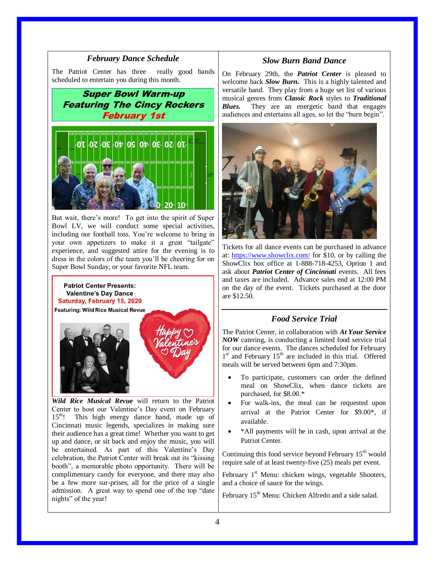#### *February Dance Schedule*

The Patriot Center has three really good bands scheduled to entertain you during this month.

**Super Bowl Warm-up Featuring The Cincy Rockers February 1st** 



But wait, there's more! To get into the spirit of Super Bowl LV, we will conduct some special activities, including our football toss. You're welcome to bring in your own appetizers to make it a great "tailgate" experience, and suggested attire for the evening is to dress in the colors of the team you'll be cheering for on Super Bowl Sunday, or your favorite NFL team.

**Patriot Center Presents: Valentine's Day Dance** Saturday, February 15, 2020

Featuring: Wild Rice Musical Revue



*Wild Rice Musical Revue* will return to the Patriot Center to host our Valentine's Day event on February 15<sup>th</sup>! This high energy dance band, made up of Cincinnati music legends, specializes in making sure their audience has a great time! Whether you want to get up and dance, or sit back and enjoy the music, you will be entertained. As part of this Valentine's Day celebration, the Patriot Center will break out its "kissing booth", a memorable photo opportunity. There will be complimentary candy for everyone, and there may also be a few more sur-prises, all for the price of a single admission. A great way to spend one of the top "date nights" of the year!

#### *Slow Burn Band Dance*

On February 29th, the *Patriot Center* is pleased to welcome back *Slow Burn***.** This is a highly talented and versatile band. They play from a huge set list of various musical genres from *Classic Rock* styles to *Traditional Blues.* They are an energetic band that engages audiences and entertains all ages, so let the "burn begin".



Tickets for all dance events can be purchased in advance at:<https://www.showclix.com/> for \$10, or by calling the ShowClix box office at 1-888-718-4253, Option 1 and ask about *Patriot Center of Cincinnati* events. All fees and taxes are included. Advance sales end at 12:00 PM on the day of the event. Tickets purchased at the door are \$12.50.

### *Food Service Trial*

The Patriot Center, in collaboration with *At Your Service NOW* catering, is conducting a limited food service trial for our dance events. The dances scheduled for February 1<sup>st</sup> and February 15<sup>th</sup> are included in this trial. Offered meals will be served between 6pm and 7:30pm.

- To participate, customers can order the defined meal on ShowClix, when dance tickets are purchased, for \$8.00.\*
- For walk-ins, the meal can be requested upon arrival at the Patriot Center for \$9.00\*, if available.
- \*All payments will be in cash, upon arrival at the Patriot Center.

Continuing this food service beyond February  $15<sup>th</sup>$  would require sale of at least twenty-five (25) meals per event.

February  $1<sup>st</sup>$  Menu: chicken wings, vegetable Shooters, and a choice of sauce for the wings.

February 15<sup>th</sup> Menu: Chicken Alfredo and a side salad.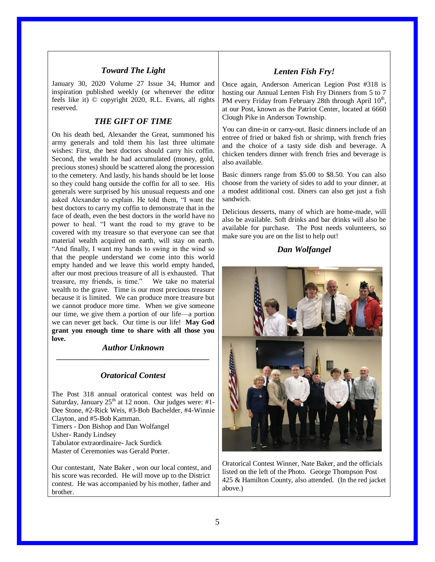## *Toward The Light*

January 30, 2020 Volume 27 Issue 34, Humor and inspiration published weekly (or whenever the editor feels like it) © copyright 2020, R.L. Evans, all rights reserved.

#### *THE GIFT OF TIME*

On his death bed, Alexander the Great, summoned his army generals and told them his last three ultimate wishes: First, the best doctors should carry his coffin. Second, the wealth he had accumulated (money, gold, precious stones) should be scattered along the procession to the cemetery. And lastly, his hands should be let loose so they could hang outside the coffin for all to see. His generals were surprised by his unusual requests and one asked Alexander to explain. He told them, "I want the best doctors to carry my coffin to demonstrate that in the face of death, even the best doctors in the world have no power to heal. "I want the road to my grave to be covered with my treasure so that everyone can see that material wealth acquired on earth, will stay on earth. "And finally, I want my hands to swing in the wind so that the people understand we come into this world empty handed and we leave this world empty handed, after our most precious treasure of all is exhausted. That treasure, my friends, is time." We take no material wealth to the grave. Time is our most precious treasure because it is limited. We can produce more treasure but we cannot produce more time. When we give someone our time, we give them a portion of our life—a portion we can never get back. Our time is our life! **May God grant you enough time to share with all those you love.**

#### *Author Unknown \_\_\_\_\_\_\_\_\_\_\_\_\_\_\_\_\_\_\_\_\_\_\_\_\_\_\_\_\_\_\_\_\_\_\_\_\_\_\_\_\_\_\_*

#### *Oratorical Contest*

The Post 318 annual oratorical contest was held on Saturday, January  $25<sup>th</sup>$  at 12 noon. Our judges were: #1-Dee Stone, #2-Rick Weis, #3-Bob Bachelder, #4-Winnie Clayton, and #5-Bob Kamman. Timers - Don Bishop and Dan Wolfangel Usher- Randy Lindsey Tabulator extraordinaire- Jack Surdick Master of Ceremonies was Gerald Porter.

Our contestant, Nate Baker , won our local contest, and his score was recorded. He will move up to the District contest. He was accompanied by his mother, father and brother.

### *Lenten Fish Fry!*

Once again, Anderson American Legion Post #318 is hosting our Annual Lenten Fish Fry Dinners from 5 to 7 PM every Friday from February 28th through April 10<sup>th</sup>, at our Post, known as the Patriot Center, located at 6660 Clough Pike in Anderson Township.

You can dine-in or carry-out. Basic dinners include of an entree of fried or baked fish or shrimp, with french fries and the choice of a tasty side dish and beverage. A chicken tenders dinner with french fries and beverage is also available.

Basic dinners range from \$5.00 to \$8.50. You can also choose from the variety of sides to add to your dinner, at a modest additional cost. Diners can also get just a fish sandwich.

Delicious desserts, many of which are home-made, will also be available. Soft drinks and bar drinks will also be available for purchase. The Post needs volunteers, so make sure you are on the list to help out!

## *Dan Wolfangel*



Oratorical Contest Winner, Nate Baker, and the officials listed on the left of the Photo. George Thompson Post 425 & Hamilton County, also attended. (In the red jacket above.)